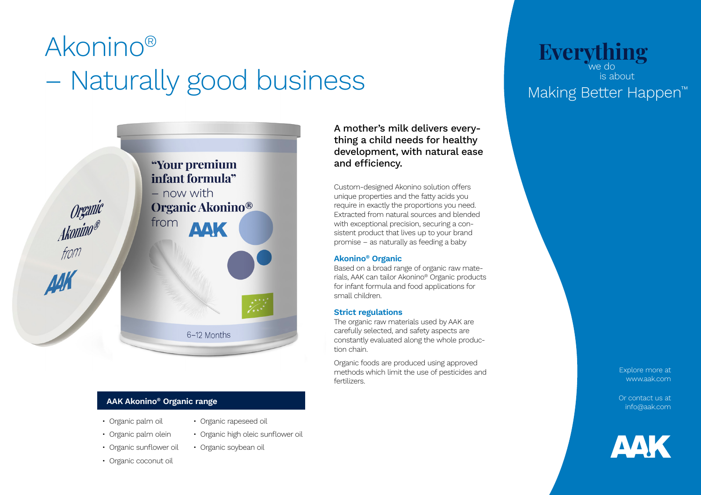# Akonino<sup>®</sup> Everything – Naturally good business





- Organic palm oil
- Organic rapeseed oil
- Organic palm olein
- Organic high oleic sunflower oil • Organic soybean oil
- Organic coconut oil

A mother's milk delivers everything a child needs for healthy development, with natural ease and efficiency.

Custom-designed Akonino solution offers unique properties and the fatty acids you require in exactly the proportions you need. Extracted from natural sources and blended with exceptional precision, securing a consistent product that lives up to your brand promise – as naturally as feeding a baby

### **Akonino® Organic**

Based on a broad range of organic raw materials, AAK can tailor Akonino® Organic products for infant formula and food applications for small children.

### **Strict regulations**

The organic raw materials used by AAK are carefully selected, and safety aspects are constantly evaluated along the whole production chain.

Organic foods are produced using approved methods which limit the use of pesticides and fertilizers.

we do is about Making Better Happen™

> Explore more at www.aak.com

Or contact us at info@aak.com



• Organic sunflower oil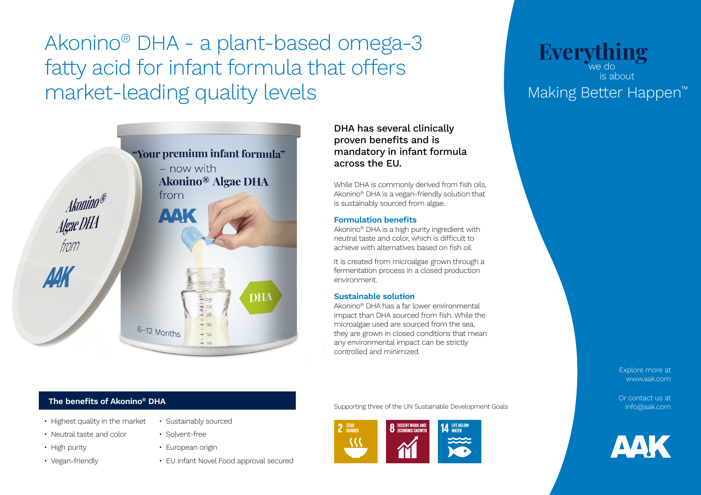**Everything** Akonino® DHA - a plant-based omega-3 fatty acid for infant formula that offers market-leading quality levels



## **The benefits of Akonino® DHA**

- Highest quality in the market
- Neutral taste and color
- High purity
- Vegan-friendly
- Sustainably sourced
- Solvent-free
- European origin
- EU Infant Novel Food approval secured

DHA has several clinically proven benefits and is mandatory in infant formula across the EU.

While DHA is commonly derived from fish oils, Akonino® DHA is a vegan-friendly solution that is sustainably sourced from algae.

### **Formulation benefits**

Akonino® DHA is a high purity ingredient with neutral taste and color, which is difficult to achieve with alternatives based on fish oil.

It is created from microalgae grown through a fermentation process in a closed production environment.

### **Sustainable solution**

Akonino® DHA has a far lower environmental impact than DHA sourced from fish. While the microalgae used are sourced from the sea, they are grown in closed conditions that mean any environmental impact can be strictly controlled and minimized.

Supporting three of the UN Sustainable Development Goals



# we do is about Making Better Happen™

Explore more at www.aak.com

Or contact us at info@aak.com